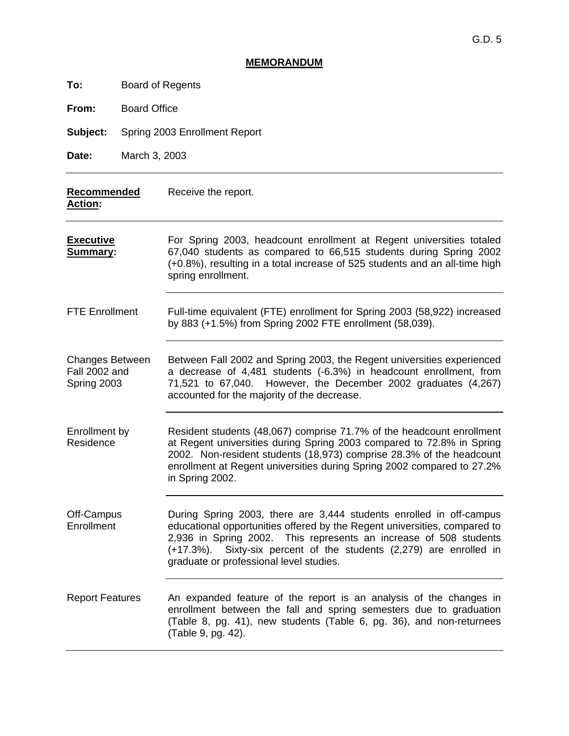## **MEMORANDUM**

| To:                                                    | <b>Board of Regents</b>       |                                                                                                                                                                                                                                                                                                                                            |  |
|--------------------------------------------------------|-------------------------------|--------------------------------------------------------------------------------------------------------------------------------------------------------------------------------------------------------------------------------------------------------------------------------------------------------------------------------------------|--|
| From:                                                  | <b>Board Office</b>           |                                                                                                                                                                                                                                                                                                                                            |  |
| Subject:                                               | Spring 2003 Enrollment Report |                                                                                                                                                                                                                                                                                                                                            |  |
| Date:                                                  | March 3, 2003                 |                                                                                                                                                                                                                                                                                                                                            |  |
| <b>Recommended</b><br><u>Action:</u>                   |                               | Receive the report.                                                                                                                                                                                                                                                                                                                        |  |
| <u>Executive</u><br><u>Summary:</u>                    |                               | For Spring 2003, headcount enrollment at Regent universities totaled<br>67,040 students as compared to 66,515 students during Spring 2002<br>(+0.8%), resulting in a total increase of 525 students and an all-time high<br>spring enrollment.                                                                                             |  |
| <b>FTE Enrollment</b>                                  |                               | Full-time equivalent (FTE) enrollment for Spring 2003 (58,922) increased<br>by 883 (+1.5%) from Spring 2002 FTE enrollment (58,039).                                                                                                                                                                                                       |  |
| <b>Changes Between</b><br>Fall 2002 and<br>Spring 2003 |                               | Between Fall 2002 and Spring 2003, the Regent universities experienced<br>a decrease of 4,481 students (-6.3%) in headcount enrollment, from<br>71,521 to 67,040. However, the December 2002 graduates (4,267)<br>accounted for the majority of the decrease.                                                                              |  |
| Enrollment by<br>Residence                             |                               | Resident students (48,067) comprise 71.7% of the headcount enrollment<br>at Regent universities during Spring 2003 compared to 72.8% in Spring<br>2002. Non-resident students (18,973) comprise 28.3% of the headcount<br>enrollment at Regent universities during Spring 2002 compared to 27.2%<br>in Spring 2002.                        |  |
| Off-Campus<br>Enrollment                               |                               | During Spring 2003, there are 3,444 students enrolled in off-campus<br>educational opportunities offered by the Regent universities, compared to<br>2,936 in Spring 2002. This represents an increase of 508 students<br>Sixty-six percent of the students (2,279) are enrolled in<br>(+17.3%).<br>graduate or professional level studies. |  |
| <b>Report Features</b>                                 |                               | An expanded feature of the report is an analysis of the changes in<br>enrollment between the fall and spring semesters due to graduation<br>(Table 8, pg. 41), new students (Table 6, pg. 36), and non-returnees<br>(Table 9, pg. 42).                                                                                                     |  |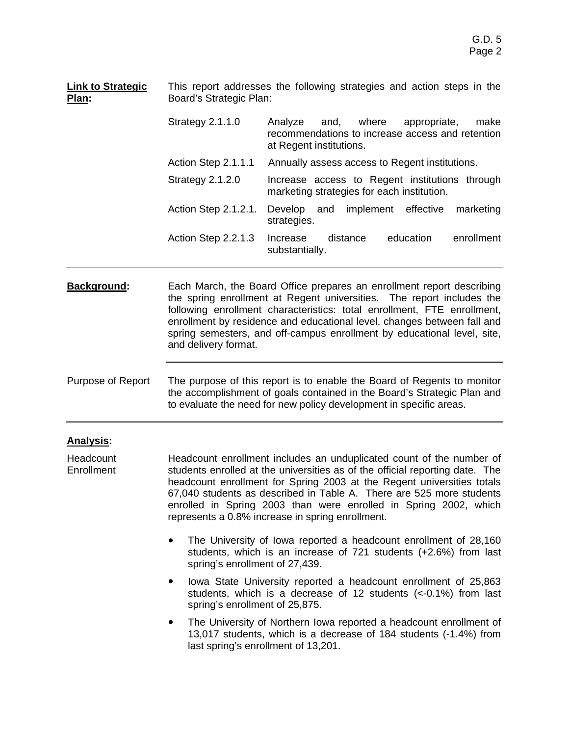| <b>Link to Strategic</b><br>Plan: | This report addresses the following strategies and action steps in the<br>Board's Strategic Plan:                                                                                                                                                                                                                                                                                                                              |                                                                                                                                                                                                                                                                                                                                                                                 |  |  |  |
|-----------------------------------|--------------------------------------------------------------------------------------------------------------------------------------------------------------------------------------------------------------------------------------------------------------------------------------------------------------------------------------------------------------------------------------------------------------------------------|---------------------------------------------------------------------------------------------------------------------------------------------------------------------------------------------------------------------------------------------------------------------------------------------------------------------------------------------------------------------------------|--|--|--|
|                                   | <b>Strategy 2.1.1.0</b>                                                                                                                                                                                                                                                                                                                                                                                                        | Analyze<br>where<br>appropriate,<br>make<br>and,<br>recommendations to increase access and retention<br>at Regent institutions.                                                                                                                                                                                                                                                 |  |  |  |
|                                   | Action Step 2.1.1.1<br>Annually assess access to Regent institutions.                                                                                                                                                                                                                                                                                                                                                          |                                                                                                                                                                                                                                                                                                                                                                                 |  |  |  |
|                                   | Strategy 2.1.2.0                                                                                                                                                                                                                                                                                                                                                                                                               | Increase access to Regent institutions through<br>marketing strategies for each institution.                                                                                                                                                                                                                                                                                    |  |  |  |
|                                   | Action Step 2.1.2.1.                                                                                                                                                                                                                                                                                                                                                                                                           | effective<br>Develop<br>and<br>implement<br>marketing<br>strategies.                                                                                                                                                                                                                                                                                                            |  |  |  |
|                                   | Action Step 2.2.1.3                                                                                                                                                                                                                                                                                                                                                                                                            | education<br>enrollment<br>Increase<br>distance<br>substantially.                                                                                                                                                                                                                                                                                                               |  |  |  |
| <b>Background:</b>                | and delivery format.                                                                                                                                                                                                                                                                                                                                                                                                           | Each March, the Board Office prepares an enrollment report describing<br>the spring enrollment at Regent universities. The report includes the<br>following enrollment characteristics: total enrollment, FTE enrollment,<br>enrollment by residence and educational level, changes between fall and<br>spring semesters, and off-campus enrollment by educational level, site, |  |  |  |
| Purpose of Report                 |                                                                                                                                                                                                                                                                                                                                                                                                                                | The purpose of this report is to enable the Board of Regents to monitor<br>the accomplishment of goals contained in the Board's Strategic Plan and<br>to evaluate the need for new policy development in specific areas.                                                                                                                                                        |  |  |  |
| <b>Analysis:</b>                  |                                                                                                                                                                                                                                                                                                                                                                                                                                |                                                                                                                                                                                                                                                                                                                                                                                 |  |  |  |
| Headcount<br>Enrollment           | Headcount enrollment includes an unduplicated count of the number of<br>students enrolled at the universities as of the official reporting date. The<br>headcount enrollment for Spring 2003 at the Regent universities totals<br>67,040 students as described in Table A. There are 525 more students<br>enrolled in Spring 2003 than were enrolled in Spring 2002, which<br>represents a 0.8% increase in spring enrollment. |                                                                                                                                                                                                                                                                                                                                                                                 |  |  |  |
|                                   | The University of Iowa reported a headcount enrollment of 28,160<br>٠<br>students, which is an increase of 721 students (+2.6%) from last<br>spring's enrollment of 27,439.                                                                                                                                                                                                                                                    |                                                                                                                                                                                                                                                                                                                                                                                 |  |  |  |
|                                   | spring's enrollment of 25,875.                                                                                                                                                                                                                                                                                                                                                                                                 | lowa State University reported a headcount enrollment of 25,863<br>students, which is a decrease of 12 students (<-0.1%) from last                                                                                                                                                                                                                                              |  |  |  |
|                                   | last spring's enrollment of 13,201.                                                                                                                                                                                                                                                                                                                                                                                            | The University of Northern Iowa reported a headcount enrollment of<br>13,017 students, which is a decrease of 184 students (-1.4%) from                                                                                                                                                                                                                                         |  |  |  |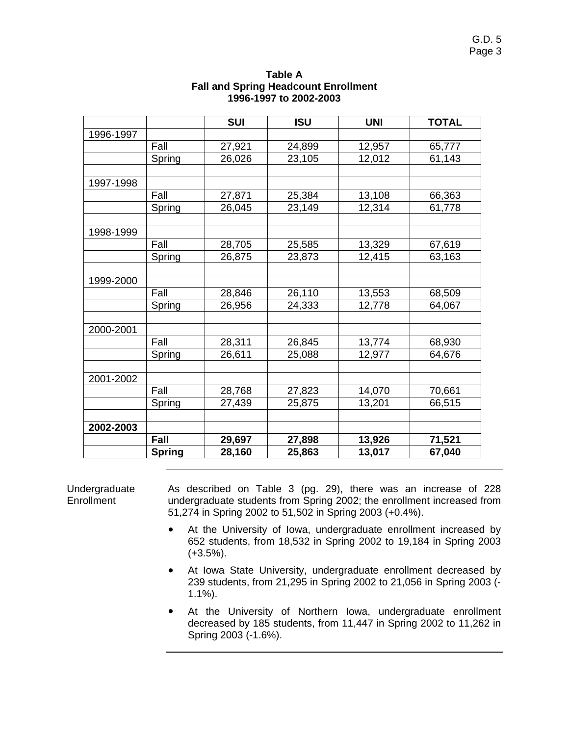|           |               | <b>SUI</b> | <b>ISU</b> | <b>UNI</b> | <b>TOTAL</b> |
|-----------|---------------|------------|------------|------------|--------------|
| 1996-1997 |               |            |            |            |              |
|           | Fall          | 27,921     | 24,899     | 12,957     | 65,777       |
|           | Spring        | 26,026     | 23,105     | 12,012     | 61,143       |
|           |               |            |            |            |              |
| 1997-1998 |               |            |            |            |              |
|           | Fall          | 27,871     | 25,384     | 13,108     | 66,363       |
|           | Spring        | 26,045     | 23,149     | 12,314     | 61,778       |
|           |               |            |            |            |              |
| 1998-1999 |               |            |            |            |              |
|           | Fall          | 28,705     | 25,585     | 13,329     | 67,619       |
|           | Spring        | 26,875     | 23,873     | 12,415     | 63,163       |
|           |               |            |            |            |              |
| 1999-2000 |               |            |            |            |              |
|           | Fall          | 28,846     | 26,110     | 13,553     | 68,509       |
|           | Spring        | 26,956     | 24,333     | 12,778     | 64,067       |
|           |               |            |            |            |              |
| 2000-2001 |               |            |            |            |              |
|           | Fall          | 28,311     | 26,845     | 13,774     | 68,930       |
|           | Spring        | 26,611     | 25,088     | 12,977     | 64,676       |
|           |               |            |            |            |              |
| 2001-2002 |               |            |            |            |              |
|           | Fall          | 28,768     | 27,823     | 14,070     | 70,661       |
|           | Spring        | 27,439     | 25,875     | 13,201     | 66,515       |
|           |               |            |            |            |              |
| 2002-2003 |               |            |            |            |              |
|           | Fall          | 29,697     | 27,898     | 13,926     | 71,521       |
|           | <b>Spring</b> | 28,160     | 25,863     | 13,017     | 67,040       |

## **Table A Fall and Spring Headcount Enrollment 1996-1997 to 2002-2003**

Undergraduate **Enrollment** As described on Table 3 (pg. 29), there was an increase of 228 undergraduate students from Spring 2002; the enrollment increased from 51,274 in Spring 2002 to 51,502 in Spring 2003 (+0.4%).

- ! At the University of Iowa, undergraduate enrollment increased by 652 students, from 18,532 in Spring 2002 to 19,184 in Spring 2003 (+3.5%).
- ! At Iowa State University, undergraduate enrollment decreased by 239 students, from 21,295 in Spring 2002 to 21,056 in Spring 2003 (- 1.1%).
- At the University of Northern Iowa, undergraduate enrollment decreased by 185 students, from 11,447 in Spring 2002 to 11,262 in Spring 2003 (-1.6%).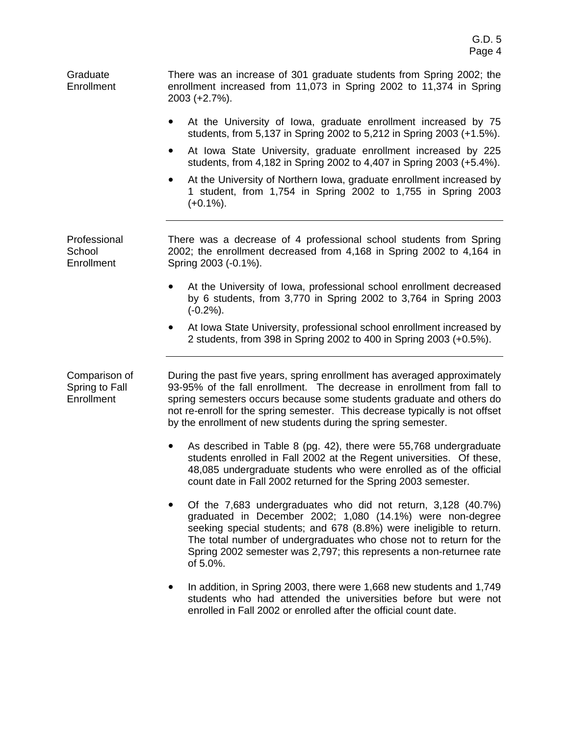Graduate **Enrollment** There was an increase of 301 graduate students from Spring 2002; the enrollment increased from 11,073 in Spring 2002 to 11,374 in Spring 2003 (+2.7%).

- ! At the University of Iowa, graduate enrollment increased by 75 students, from 5,137 in Spring 2002 to 5,212 in Spring 2003 (+1.5%).
- At Iowa State University, graduate enrollment increased by 225 students, from 4,182 in Spring 2002 to 4,407 in Spring 2003 (+5.4%).
- At the University of Northern Iowa, graduate enrollment increased by 1 student, from 1,754 in Spring 2002 to 1,755 in Spring 2003  $(+0.1\%)$ .

Professional **School Enrollment** There was a decrease of 4 professional school students from Spring 2002; the enrollment decreased from 4,168 in Spring 2002 to 4,164 in Spring 2003 (-0.1%).

- At the University of Iowa, professional school enrollment decreased by 6 students, from 3,770 in Spring 2002 to 3,764 in Spring 2003 (-0.2%).
- At Iowa State University, professional school enrollment increased by 2 students, from 398 in Spring 2002 to 400 in Spring 2003 (+0.5%).

Comparison of Spring to Fall **Enrollment** 

During the past five years, spring enrollment has averaged approximately 93-95% of the fall enrollment. The decrease in enrollment from fall to spring semesters occurs because some students graduate and others do not re-enroll for the spring semester. This decrease typically is not offset by the enrollment of new students during the spring semester.

- As described in Table 8 (pg. 42), there were 55,768 undergraduate students enrolled in Fall 2002 at the Regent universities. Of these, 48,085 undergraduate students who were enrolled as of the official count date in Fall 2002 returned for the Spring 2003 semester.
- ! Of the 7,683 undergraduates who did not return, 3,128 (40.7%) graduated in December 2002; 1,080 (14.1%) were non-degree seeking special students; and 678 (8.8%) were ineligible to return. The total number of undergraduates who chose not to return for the Spring 2002 semester was 2,797; this represents a non-returnee rate of 5.0%.
- In addition, in Spring 2003, there were 1,668 new students and 1,749 students who had attended the universities before but were not enrolled in Fall 2002 or enrolled after the official count date.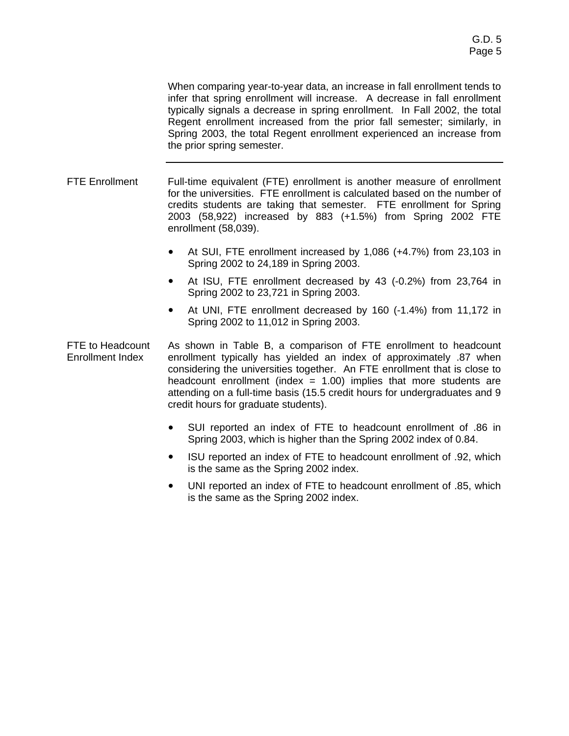When comparing year-to-year data, an increase in fall enrollment tends to infer that spring enrollment will increase. A decrease in fall enrollment typically signals a decrease in spring enrollment. In Fall 2002, the total Regent enrollment increased from the prior fall semester; similarly, in Spring 2003, the total Regent enrollment experienced an increase from the prior spring semester.

FTE Enrollment Full-time equivalent (FTE) enrollment is another measure of enrollment for the universities. FTE enrollment is calculated based on the number of credits students are taking that semester. FTE enrollment for Spring 2003 (58,922) increased by 883 (+1.5%) from Spring 2002 FTE enrollment (58,039).

- At SUI, FTE enrollment increased by 1,086 (+4.7%) from 23,103 in Spring 2002 to 24,189 in Spring 2003.
- At ISU, FTE enrollment decreased by 43 (-0.2%) from 23,764 in Spring 2002 to 23,721 in Spring 2003.
- ! At UNI, FTE enrollment decreased by 160 (-1.4%) from 11,172 in Spring 2002 to 11,012 in Spring 2003.

FTE to Headcount Enrollment Index As shown in Table B, a comparison of FTE enrollment to headcount enrollment typically has yielded an index of approximately .87 when considering the universities together. An FTE enrollment that is close to headcount enrollment (index  $= 1.00$ ) implies that more students are attending on a full-time basis (15.5 credit hours for undergraduates and 9 credit hours for graduate students).

- ! SUI reported an index of FTE to headcount enrollment of .86 in Spring 2003, which is higher than the Spring 2002 index of 0.84.
- ! ISU reported an index of FTE to headcount enrollment of .92, which is the same as the Spring 2002 index.
- ! UNI reported an index of FTE to headcount enrollment of .85, which is the same as the Spring 2002 index.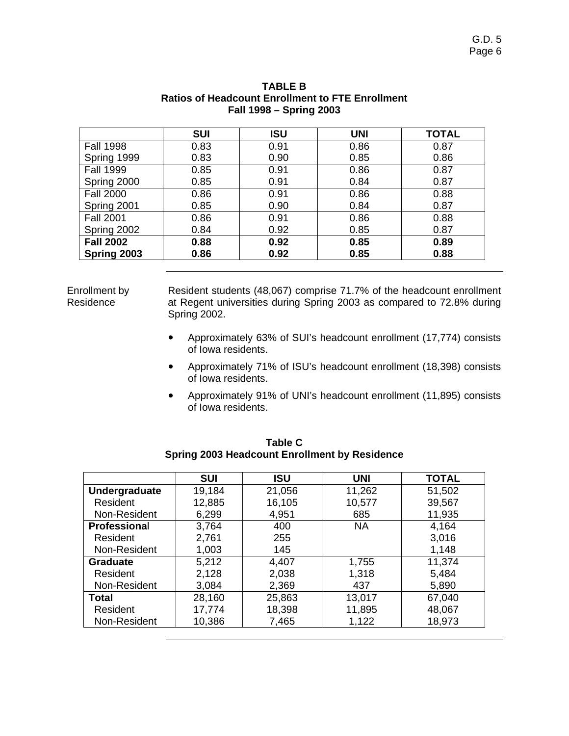| <b>SUI</b> | ISU  | <b>UNI</b> | <b>TOTAL</b> |
|------------|------|------------|--------------|
| 0.83       | 0.91 | 0.86       | 0.87         |
| 0.83       | 0.90 | 0.85       | 0.86         |
| 0.85       | 0.91 | 0.86       | 0.87         |
| 0.85       | 0.91 | 0.84       | 0.87         |
| 0.86       | 0.91 | 0.86       | 0.88         |
| 0.85       | 0.90 | 0.84       | 0.87         |
| 0.86       | 0.91 | 0.86       | 0.88         |
| 0.84       | 0.92 | 0.85       | 0.87         |
| 0.88       | 0.92 | 0.85       | 0.89         |
| 0.86       | 0.92 | 0.85       | 0.88         |
|            |      |            |              |

## **TABLE B Ratios of Headcount Enrollment to FTE Enrollment Fall 1998 – Spring 2003**

Enrollment by Residence

Resident students (48,067) comprise 71.7% of the headcount enrollment at Regent universities during Spring 2003 as compared to 72.8% during Spring 2002.

- ! Approximately 63% of SUI's headcount enrollment (17,774) consists of Iowa residents.
- ! Approximately 71% of ISU's headcount enrollment (18,398) consists of Iowa residents.
- ! Approximately 91% of UNI's headcount enrollment (11,895) consists of Iowa residents.

|                     | <b>SUI</b> | <b>ISU</b> | <b>UNI</b> | <b>TOTAL</b> |
|---------------------|------------|------------|------------|--------------|
| Undergraduate       | 19,184     | 21,056     | 11,262     | 51,502       |
| Resident            | 12,885     | 16,105     | 10,577     | 39,567       |
| Non-Resident        | 6,299      | 4,951      | 685        | 11,935       |
| <b>Professional</b> | 3,764      | 400        | <b>NA</b>  | 4,164        |
| Resident            | 2,761      | 255        |            | 3,016        |
| Non-Resident        | 1,003      | 145        |            | 1,148        |
| <b>Graduate</b>     | 5,212      | 4,407      | 1,755      | 11,374       |
| Resident            | 2,128      | 2,038      | 1,318      | 5,484        |
| Non-Resident        | 3,084      | 2,369      | 437        | 5,890        |
| Total               | 28,160     | 25,863     | 13,017     | 67,040       |
| Resident            | 17,774     | 18,398     | 11,895     | 48,067       |
| Non-Resident        | 10,386     | 7,465      | 1,122      | 18,973       |

**Table C Spring 2003 Headcount Enrollment by Residence**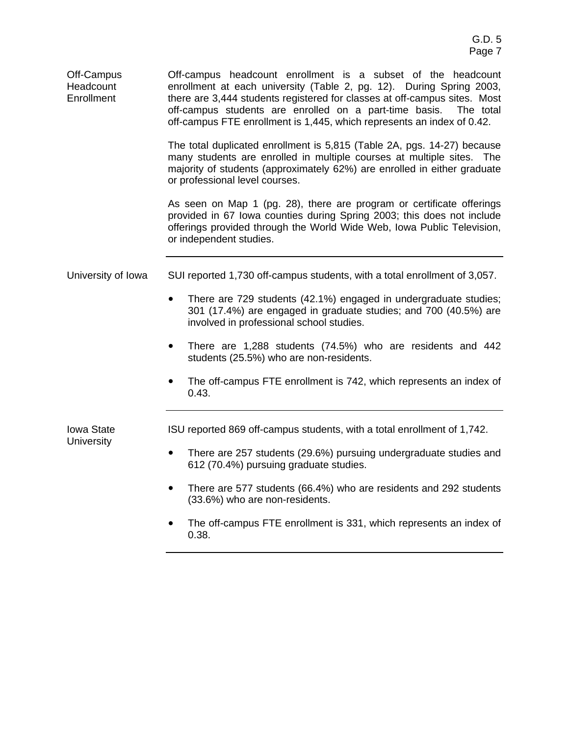| Off-Campus<br>Headcount<br>Enrollment | Off-campus headcount enrollment is a subset of the headcount<br>enrollment at each university (Table 2, pg. 12). During Spring 2003,<br>there are 3,444 students registered for classes at off-campus sites. Most<br>off-campus students are enrolled on a part-time basis.<br>The total<br>off-campus FTE enrollment is 1,445, which represents an index of 0.42. |  |  |  |
|---------------------------------------|--------------------------------------------------------------------------------------------------------------------------------------------------------------------------------------------------------------------------------------------------------------------------------------------------------------------------------------------------------------------|--|--|--|
|                                       | The total duplicated enrollment is 5,815 (Table 2A, pgs. 14-27) because<br>many students are enrolled in multiple courses at multiple sites. The<br>majority of students (approximately 62%) are enrolled in either graduate<br>or professional level courses.                                                                                                     |  |  |  |
|                                       | As seen on Map 1 (pg. 28), there are program or certificate offerings<br>provided in 67 Iowa counties during Spring 2003; this does not include<br>offerings provided through the World Wide Web, Iowa Public Television,<br>or independent studies.                                                                                                               |  |  |  |
| University of Iowa                    | SUI reported 1,730 off-campus students, with a total enrollment of 3,057.                                                                                                                                                                                                                                                                                          |  |  |  |
|                                       | There are 729 students (42.1%) engaged in undergraduate studies;<br>$\bullet$<br>301 (17.4%) are engaged in graduate studies; and 700 (40.5%) are<br>involved in professional school studies.                                                                                                                                                                      |  |  |  |
|                                       | There are 1,288 students (74.5%) who are residents and 442<br>٠<br>students (25.5%) who are non-residents.                                                                                                                                                                                                                                                         |  |  |  |
|                                       | The off-campus FTE enrollment is 742, which represents an index of<br>0.43.                                                                                                                                                                                                                                                                                        |  |  |  |
| <b>Iowa State</b>                     | ISU reported 869 off-campus students, with a total enrollment of 1,742.                                                                                                                                                                                                                                                                                            |  |  |  |
| <b>University</b>                     | There are 257 students (29.6%) pursuing undergraduate studies and<br>$\bullet$<br>612 (70.4%) pursuing graduate studies.                                                                                                                                                                                                                                           |  |  |  |
|                                       | There are 577 students (66.4%) who are residents and 292 students<br>$\bullet$<br>(33.6%) who are non-residents.                                                                                                                                                                                                                                                   |  |  |  |
|                                       | The off-campus FTE enrollment is 331, which represents an index of                                                                                                                                                                                                                                                                                                 |  |  |  |

0.38.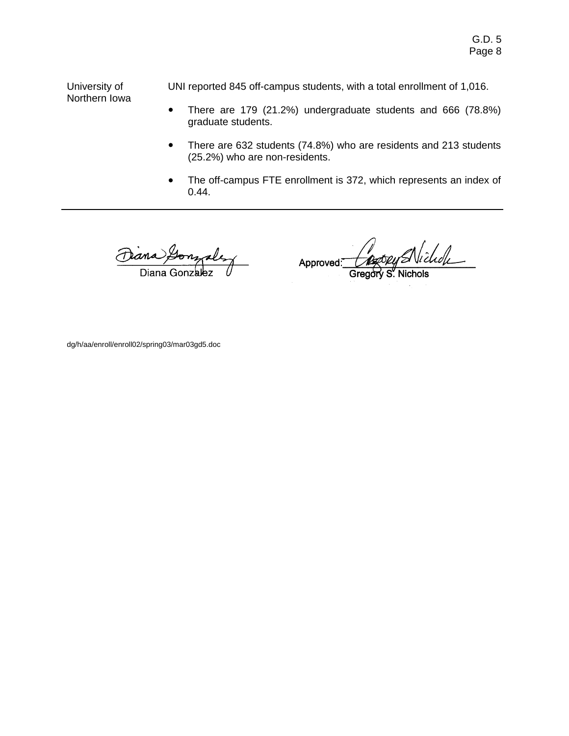University of Northern Iowa UNI reported 845 off-campus students, with a total enrollment of 1,016.

- There are 179 (21.2%) undergraduate students and 666 (78.8%) graduate students.
- There are 632 students (74.8%) who are residents and 213 students (25.2%) who are non-residents.
- The off-campus FTE enrollment is 372, which represents an index of 0.44.

ana Gonzales Diana Gonzalez

lichde Approved

dg/h/aa/enroll/enroll02/spring03/mar03gd5.doc